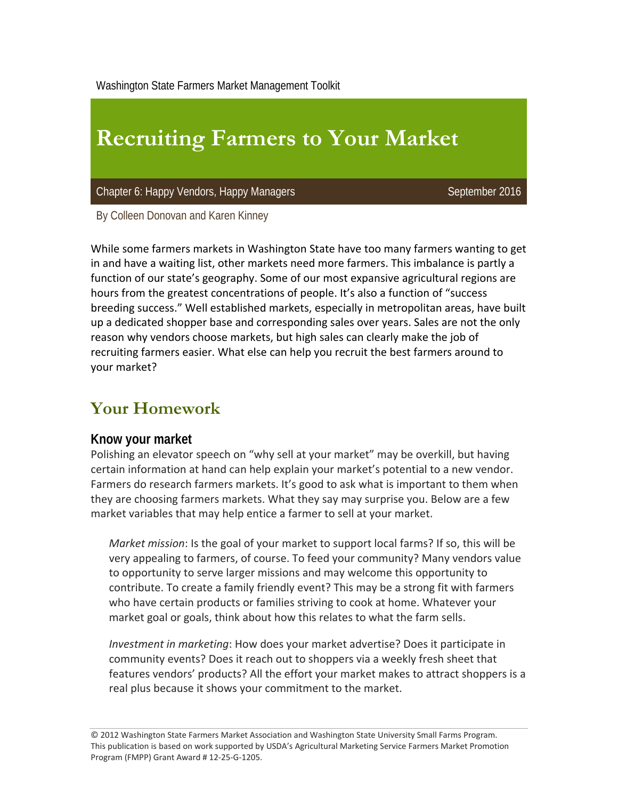Washington State Farmers Market Management Toolkit

# **Recruiting Farmers to Your Market**

Chapter 6: Happy Vendors, Happy Managers September 2016

By Colleen Donovan and Karen Kinney

While some farmers markets in Washington State have too many farmers wanting to get in and have a waiting list, other markets need more farmers. This imbalance is partly a function of our state's geography. Some of our most expansive agricultural regions are hours from the greatest concentrations of people. It's also a function of "success breeding success." Well established markets, especially in metropolitan areas, have built up a dedicated shopper base and corresponding sales over years. Sales are not the only reason why vendors choose markets, but high sales can clearly make the job of recruiting farmers easier. What else can help you recruit the best farmers around to your market?

## **Your Homework**

#### **Know your market**

Polishing an elevator speech on "why sell at your market" may be overkill, but having certain information at hand can help explain your market's potential to a new vendor. Farmers do research farmers markets. It's good to ask what is important to them when they are choosing farmers markets. What they say may surprise you. Below are a few market variables that may help entice a farmer to sell at your market.

*Market mission*: Is the goal of your market to support local farms? If so, this will be very appealing to farmers, of course. To feed your community? Many vendors value to opportunity to serve larger missions and may welcome this opportunity to contribute. To create a family friendly event? This may be a strong fit with farmers who have certain products or families striving to cook at home. Whatever your market goal or goals, think about how this relates to what the farm sells.

*Investment in marketing*: How does your market advertise? Does it participate in community events? Does it reach out to shoppers via a weekly fresh sheet that features vendors' products? All the effort your market makes to attract shoppers is a real plus because it shows your commitment to the market.

© 2012 Washington State Farmers Market Association and Washington State University Small Farms Program. This publication is based on work supported by USDA's Agricultural Marketing Service Farmers Market Promotion Program (FMPP) Grant Award # 12‐25‐G‐1205.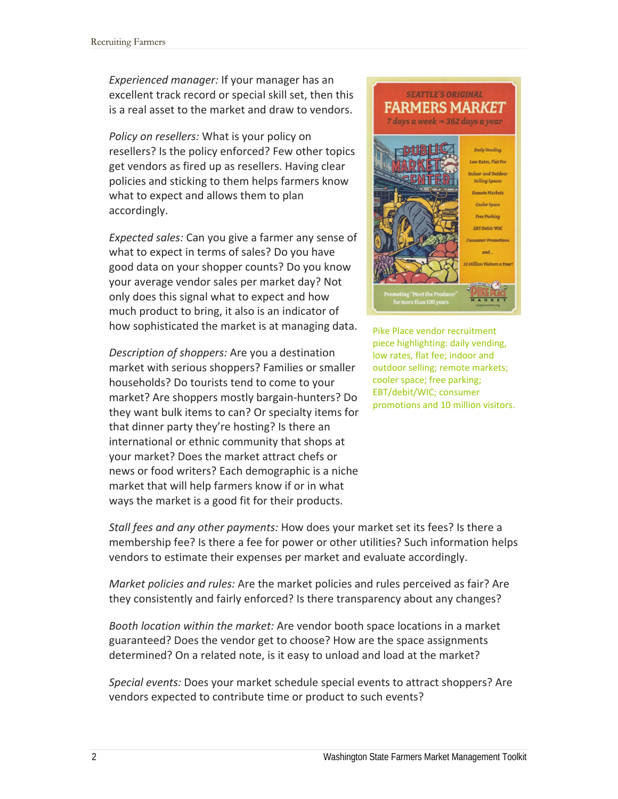*Experienced manager:* If your manager has an excellent track record or special skill set, then this is a real asset to the market and draw to vendors.

*Policy on resellers:* What is your policy on resellers? Is the policy enforced? Few other topics get vendors as fired up as resellers. Having clear policies and sticking to them helps farmers know what to expect and allows them to plan accordingly.

*Expected sales:* Can you give a farmer any sense of what to expect in terms of sales? Do you have good data on your shopper counts? Do you know your average vendor sales per market day? Not only does this signal what to expect and how much product to bring, it also is an indicator of how sophisticated the market is at managing data.

*Description of shoppers:* Are you a destination market with serious shoppers? Families or smaller households? Do tourists tend to come to your market? Are shoppers mostly bargain‐hunters? Do they want bulk items to can? Or specialty items for that dinner party they're hosting? Is there an international or ethnic community that shops at your market? Does the market attract chefs or news or food writers? Each demographic is a niche market that will help farmers know if or in what ways the market is a good fit for their products.



Pike Place vendor recruitment piece highlighting: daily vending, low rates, flat fee; indoor and outdoor selling; remote markets; cooler space; free parking; EBT/debit/WIC; consumer promotions and 10 million visitors.

*Stall fees and any other payments:* How does your market set its fees? Is there a membership fee? Is there a fee for power or other utilities? Such information helps vendors to estimate their expenses per market and evaluate accordingly.

*Market policies and rules:* Are the market policies and rules perceived as fair? Are they consistently and fairly enforced? Is there transparency about any changes?

*Booth location within the market:* Are vendor booth space locations in a market guaranteed? Does the vendor get to choose? How are the space assignments determined? On a related note, is it easy to unload and load at the market?

*Special events:* Does your market schedule special events to attract shoppers? Are vendors expected to contribute time or product to such events?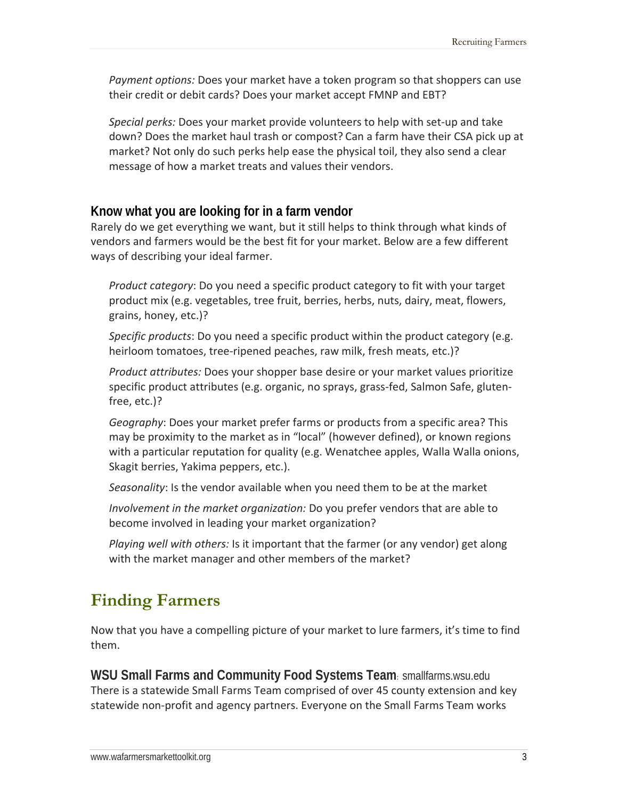*Payment options:* Does your market have a token program so that shoppers can use their credit or debit cards? Does your market accept FMNP and EBT?

*Special perks:* Does your market provide volunteers to help with set‐up and take down? Does the market haul trash or compost? Can a farm have their CSA pick up at market? Not only do such perks help ease the physical toil, they also send a clear message of how a market treats and values their vendors.

#### **Know what you are looking for in a farm vendor**

Rarely do we get everything we want, but it still helps to think through what kinds of vendors and farmers would be the best fit for your market. Below are a few different ways of describing your ideal farmer.

*Product category*: Do you need a specific product category to fit with your target product mix (e.g. vegetables, tree fruit, berries, herbs, nuts, dairy, meat, flowers, grains, honey, etc.)?

*Specific products*: Do you need a specific product within the product category (e.g. heirloom tomatoes, tree-ripened peaches, raw milk, fresh meats, etc.)?

*Product attributes:* Does your shopper base desire or your market values prioritize specific product attributes (e.g. organic, no sprays, grass‐fed, Salmon Safe, gluten‐ free, etc.)?

*Geography*: Does your market prefer farms or products from a specific area? This may be proximity to the market as in "local" (however defined), or known regions with a particular reputation for quality (e.g. Wenatchee apples, Walla Walla onions, Skagit berries, Yakima peppers, etc.).

*Seasonality*: Is the vendor available when you need them to be at the market

*Involvement in the market organization:* Do you prefer vendors that are able to become involved in leading your market organization?

*Playing well with others:* Is it important that the farmer (or any vendor) get along with the market manager and other members of the market?

# **Finding Farmers**

Now that you have a compelling picture of your market to lure farmers, it's time to find them.

**WSU Small Farms and Community Food Systems Team**: smallfarms.wsu.edu There is a statewide Small Farms Team comprised of over 45 county extension and key statewide non‐profit and agency partners. Everyone on the Small Farms Team works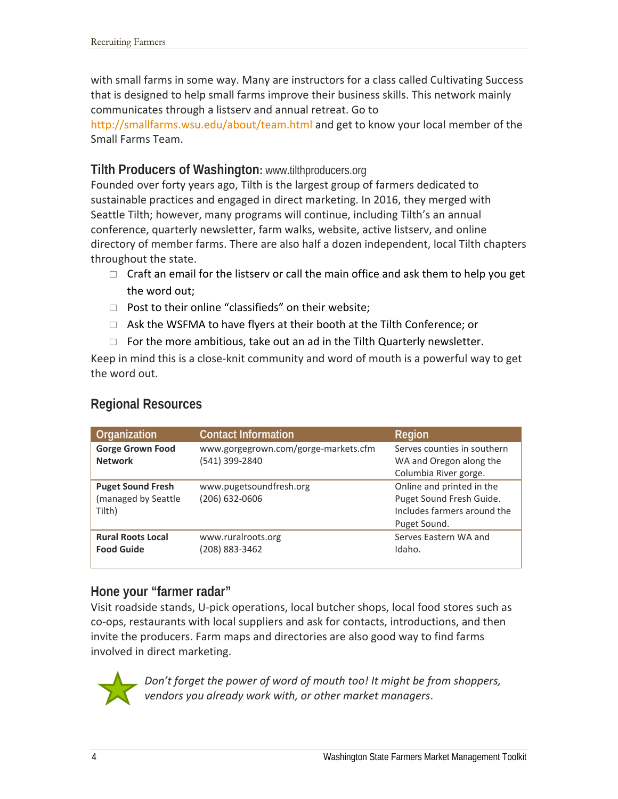with small farms in some way. Many are instructors for a class called Cultivating Success that is designed to help small farms improve their business skills. This network mainly communicates through a listserv and annual retreat. Go to

http://smallfarms.wsu.edu/about/team.html and get to know your local member of the Small Farms Team.

#### **Tilth Producers of Washington:** www.tilthproducers.org

Founded over forty years ago, Tilth is the largest group of farmers dedicated to sustainable practices and engaged in direct marketing. In 2016, they merged with Seattle Tilth; however, many programs will continue, including Tilth's an annual conference, quarterly newsletter, farm walks, website, active listserv, and online directory of member farms. There are also half a dozen independent, local Tilth chapters throughout the state.

- $\Box$  Craft an email for the listserv or call the main office and ask them to help you get the word out;
- $\Box$  Post to their online "classifieds" on their website;
- $\Box$  Ask the WSFMA to have flyers at their booth at the Tilth Conference; or
- $\Box$  For the more ambitious, take out an ad in the Tilth Quarterly newsletter.

Keep in mind this is a close‐knit community and word of mouth is a powerful way to get the word out.

## **Regional Resources**

| Organization             | <b>Contact Information</b>           | Region                      |
|--------------------------|--------------------------------------|-----------------------------|
| <b>Gorge Grown Food</b>  | www.gorgegrown.com/gorge-markets.cfm | Serves counties in southern |
| <b>Network</b>           | (541) 399-2840                       | WA and Oregon along the     |
|                          |                                      | Columbia River gorge.       |
| <b>Puget Sound Fresh</b> | www.pugetsoundfresh.org              | Online and printed in the   |
| (managed by Seattle      | (206) 632-0606                       | Puget Sound Fresh Guide.    |
| Tilth)                   |                                      | Includes farmers around the |
|                          |                                      | Puget Sound.                |
| <b>Rural Roots Local</b> | www.ruralroots.org                   | Serves Eastern WA and       |
| <b>Food Guide</b>        | (208) 883-3462                       | Idaho.                      |
|                          |                                      |                             |

#### **Hone your "farmer radar"**

Visit roadside stands, U‐pick operations, local butcher shops, local food stores such as co‐ops, restaurants with local suppliers and ask for contacts, introductions, and then invite the producers. Farm maps and directories are also good way to find farms involved in direct marketing.



*Don't forget the power of word of mouth too! It might be from shoppers, vendors you already work with, or other market managers*.